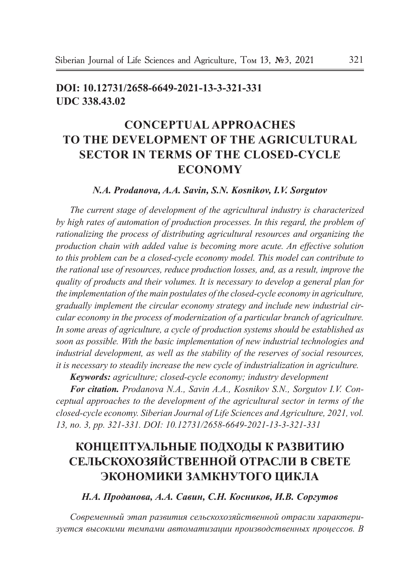# **doi: 10.12731/2658-6649-2021-13-3-321-331 UDC 338.43.02**

# **CONCEPTUAL APPROACHES TO THE DEVELOPMENT OF THE AGRICULTURAL SECTOR IN TERMS OF THE CLOSED-CYCLE ECONOMY**

### *N.A. Prodanova, A.A. Savin, S.N. Kosnikov, I.V. Sorgutov*

*The current stage of development of the agricultural industry is characterized*  by high rates of automation of production processes. In this regard, the problem of *rationalizing the process of distributing agricultural resources and organizing the production chain with added value is becoming more acute. An effective solution to this problem can be a closed-cycle economy model. This model can contribute to the rational use of resources, reduce production losses, and, as a result, improve the quality of products and their volumes. It is necessary to develop a general plan for the implementation of the main postulates of the closed-cycle economy in agriculture, gradually implement the circular economy strategy and include new industrial circular economy in the process of modernization of a particular branch of agriculture. In some areas of agriculture, a cycle of production systems should be established as soon as possible. With the basic implementation of new industrial technologies and industrial development, as well as the stability of the reserves of social resources, it is necessary to steadily increase the new cycle of industrialization in agriculture.*

*Keywords: agriculture; closed-cycle economy; industry development*

*For citation. Prodanova N.A., Savin A.A., Kosnikov S.N., Sorgutov I.V. Conceptual approaches to the development of the agricultural sector in terms of the closed-cycle economy. Siberian Journal of Life Sciences and Agriculture, 2021, vol. 13, no. 3, pp. 321-331. DOI: 10.12731/2658-6649-2021-13-3-321-331* 

# **КОНЦЕПТУАЛЬНЫЕ ПОДХОДЫ К РАЗВИТИЮ СЕЛЬСКОХОЗЯЙСТВЕННОЙ ОТРАСЛИ В СВЕТЕ ЭКОНОМИКИ ЗАМКНУТОГО ЦИКЛА**

*Н.А. Проданова, А.А. Савин, С.Н. Косников, И.В. Соргутов*

*Современный этап развития сельскохозяйственной отрасли характеризуется высокими темпами автоматизации производственных процессов. В*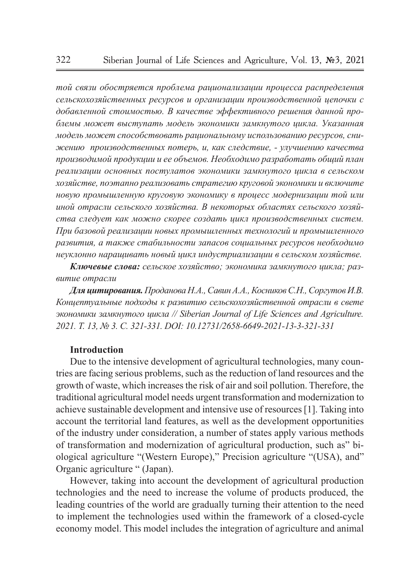*той связи обостряется проблема рационализации процесса распределения сельскохозяйственных ресурсов и организации производственной цепочки с добавленной стоимостью. В качестве эффективного решения данной проблемы может выступать модель экономики замкнутого цикла. Указанная модель может способствовать рациональному использованию ресурсов, снижению производственных потерь, и, как следствие, - улучшению качества производимой продукции и ее объемов. Необходимо разработать общий план реализации основных постулатов экономики замкнутого цикла в сельском хозяйстве, поэтапно реализовать стратегию круговой экономики и включите новую промышленную круговую экономику в процесс модернизации той или иной отрасли сельского хозяйства. В некоторых областях сельского хозяйства следует как можно скорее создать цикл производственных систем. При базовой реализации новых промышленных технологий и промышленного развития, а также стабильности запасов социальных ресурсов необходимо неуклонно наращивать новый цикл индустриализации в сельском хозяйстве.* 

*Ключевые слова: сельское хозяйство; экономика замкнутого цикла; развитие отрасли*

*Для цитирования. Проданова Н.А., Савин А.А., Косников С.Н., Соргутов И.В. Концептуальные подходы к развитию сельскохозяйственной отрасли в свете экономики замкнутого цикла // Siberian Journal of Life Sciences and Agriculture. 2021. Т. 13, № 3. C. 321-331. DOI: 10.12731/2658-6649-2021-13-3-321-331*

#### **Introduction**

Due to the intensive development of agricultural technologies, many countries are facing serious problems, such as the reduction of land resources and the growth of waste, which increases the risk of air and soil pollution. Therefore, the traditional agricultural model needs urgent transformation and modernization to achieve sustainable development and intensive use of resources [1]. Taking into account the territorial land features, as well as the development opportunities of the industry under consideration, a number of states apply various methods of transformation and modernization of agricultural production, such as" biological agriculture "(Western Europe)," Precision agriculture "(USA), and" Organic agriculture " (Japan).

However, taking into account the development of agricultural production technologies and the need to increase the volume of products produced, the leading countries of the world are gradually turning their attention to the need to implement the technologies used within the framework of a closed-cycle economy model. This model includes the integration of agriculture and animal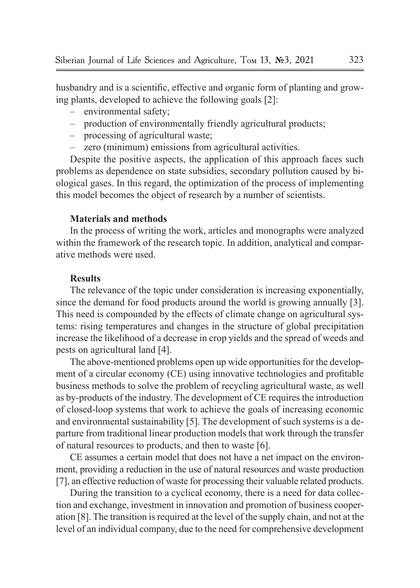husbandry and is a scientific, effective and organic form of planting and growing plants, developed to achieve the following goals [2]:

- environmental safety;
- production of environmentally friendly agricultural products;
- processing of agricultural waste;
- zero (minimum) emissions from agricultural activities.

Despite the positive aspects, the application of this approach faces such problems as dependence on state subsidies, secondary pollution caused by biological gases. In this regard, the optimization of the process of implementing this model becomes the object of research by a number of scientists.

### **Materials and methods**

In the process of writing the work, articles and monographs were analyzed within the framework of the research topic. In addition, analytical and comparative methods were used.

#### **Results**

The relevance of the topic under consideration is increasing exponentially, since the demand for food products around the world is growing annually [3]. This need is compounded by the effects of climate change on agricultural systems: rising temperatures and changes in the structure of global precipitation increase the likelihood of a decrease in crop yields and the spread of weeds and pests on agricultural land [4].

The above-mentioned problems open up wide opportunities for the development of a circular economy (CE) using innovative technologies and profitable business methods to solve the problem of recycling agricultural waste, as well as by-products of the industry. The development of CE requires the introduction of closed-loop systems that work to achieve the goals of increasing economic and environmental sustainability [5]. The development of such systems is a departure from traditional linear production models that work through the transfer of natural resources to products, and then to waste [6].

CE assumes a certain model that does not have a net impact on the environment, providing a reduction in the use of natural resources and waste production [7], an effective reduction of waste for processing their valuable related products.

During the transition to a cyclical economy, there is a need for data collection and exchange, investment in innovation and promotion of business cooperation [8]. The transition is required at the level of the supply chain, and not at the level of an individual company, due to the need for comprehensive development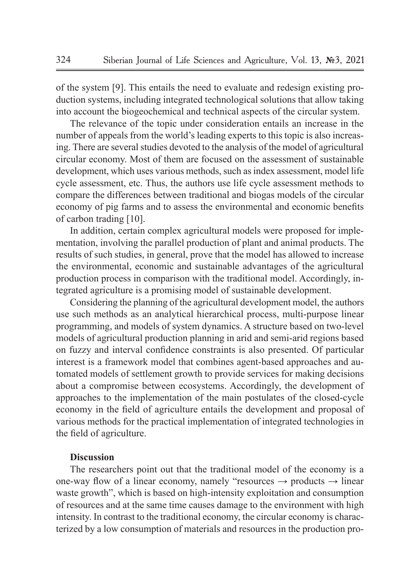of the system [9]. This entails the need to evaluate and redesign existing production systems, including integrated technological solutions that allow taking into account the biogeochemical and technical aspects of the circular system.

The relevance of the topic under consideration entails an increase in the number of appeals from the world's leading experts to this topic is also increasing. There are several studies devoted to the analysis of the model of agricultural circular economy. Most of them are focused on the assessment of sustainable development, which uses various methods, such as index assessment, model life cycle assessment, etc. Thus, the authors use life cycle assessment methods to compare the differences between traditional and biogas models of the circular economy of pig farms and to assess the environmental and economic benefits of carbon trading [10].

In addition, certain complex agricultural models were proposed for implementation, involving the parallel production of plant and animal products. The results of such studies, in general, prove that the model has allowed to increase the environmental, economic and sustainable advantages of the agricultural production process in comparison with the traditional model. Accordingly, integrated agriculture is a promising model of sustainable development.

Considering the planning of the agricultural development model, the authors use such methods as an analytical hierarchical process, multi-purpose linear programming, and models of system dynamics. A structure based on two-level models of agricultural production planning in arid and semi-arid regions based on fuzzy and interval confidence constraints is also presented. Of particular interest is a framework model that combines agent-based approaches and automated models of settlement growth to provide services for making decisions about a compromise between ecosystems. Accordingly, the development of approaches to the implementation of the main postulates of the closed-cycle economy in the field of agriculture entails the development and proposal of various methods for the practical implementation of integrated technologies in the field of agriculture.

### **Discussion**

The researchers point out that the traditional model of the economy is a one-way flow of a linear economy, namely "resources  $\rightarrow$  products  $\rightarrow$  linear waste growth", which is based on high-intensity exploitation and consumption of resources and at the same time causes damage to the environment with high intensity. In contrast to the traditional economy, the circular economy is characterized by a low consumption of materials and resources in the production pro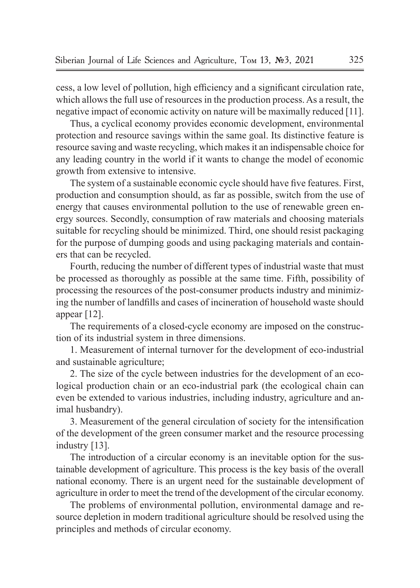cess, a low level of pollution, high efficiency and a significant circulation rate, which allows the full use of resources in the production process. As a result, the negative impact of economic activity on nature will be maximally reduced [11].

Thus, a cyclical economy provides economic development, environmental protection and resource savings within the same goal. Its distinctive feature is resource saving and waste recycling, which makes it an indispensable choice for any leading country in the world if it wants to change the model of economic growth from extensive to intensive.

The system of a sustainable economic cycle should have five features. First, production and consumption should, as far as possible, switch from the use of energy that causes environmental pollution to the use of renewable green energy sources. Secondly, consumption of raw materials and choosing materials suitable for recycling should be minimized. Third, one should resist packaging for the purpose of dumping goods and using packaging materials and containers that can be recycled.

Fourth, reducing the number of different types of industrial waste that must be processed as thoroughly as possible at the same time. Fifth, possibility of processing the resources of the post-consumer products industry and minimizing the number of landfills and cases of incineration of household waste should appear [12].

The requirements of a closed-cycle economy are imposed on the construction of its industrial system in three dimensions.

1. Measurement of internal turnover for the development of eco-industrial and sustainable agriculture;

2. The size of the cycle between industries for the development of an ecological production chain or an eco-industrial park (the ecological chain can even be extended to various industries, including industry, agriculture and animal husbandry).

3. Measurement of the general circulation of society for the intensification of the development of the green consumer market and the resource processing industry [13].

The introduction of a circular economy is an inevitable option for the sustainable development of agriculture. This process is the key basis of the overall national economy. There is an urgent need for the sustainable development of agriculture in order to meet the trend of the development of the circular economy.

The problems of environmental pollution, environmental damage and resource depletion in modern traditional agriculture should be resolved using the principles and methods of circular economy.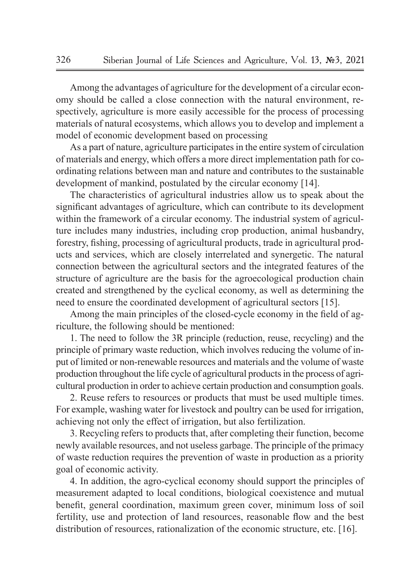Among the advantages of agriculture for the development of a circular economy should be called a close connection with the natural environment, respectively, agriculture is more easily accessible for the process of processing materials of natural ecosystems, which allows you to develop and implement a model of economic development based on processing

As a part of nature, agriculture participates in the entire system of circulation of materials and energy, which offers a more direct implementation path for coordinating relations between man and nature and contributes to the sustainable development of mankind, postulated by the circular economy [14].

The characteristics of agricultural industries allow us to speak about the significant advantages of agriculture, which can contribute to its development within the framework of a circular economy. The industrial system of agriculture includes many industries, including crop production, animal husbandry, forestry, fishing, processing of agricultural products, trade in agricultural products and services, which are closely interrelated and synergetic. The natural connection between the agricultural sectors and the integrated features of the structure of agriculture are the basis for the agroecological production chain created and strengthened by the cyclical economy, as well as determining the need to ensure the coordinated development of agricultural sectors [15].

Among the main principles of the closed-cycle economy in the field of agriculture, the following should be mentioned:

1. The need to follow the 3R principle (reduction, reuse, recycling) and the principle of primary waste reduction, which involves reducing the volume of input of limited or non-renewable resources and materials and the volume of waste production throughout the life cycle of agricultural products in the process of agricultural production in order to achieve certain production and consumption goals.

2. Reuse refers to resources or products that must be used multiple times. For example, washing water for livestock and poultry can be used for irrigation, achieving not only the effect of irrigation, but also fertilization.

3. Recycling refers to products that, after completing their function, become newly available resources, and not useless garbage. The principle of the primacy of waste reduction requires the prevention of waste in production as a priority goal of economic activity.

4. In addition, the agro-cyclical economy should support the principles of measurement adapted to local conditions, biological coexistence and mutual benefit, general coordination, maximum green cover, minimum loss of soil fertility, use and protection of land resources, reasonable flow and the best distribution of resources, rationalization of the economic structure, etc. [16].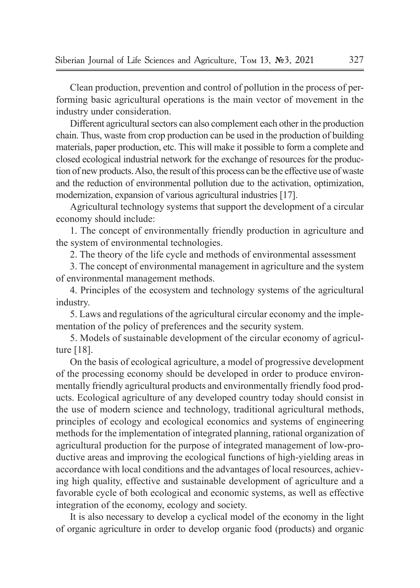Clean production, prevention and control of pollution in the process of performing basic agricultural operations is the main vector of movement in the industry under consideration.

Different agricultural sectors can also complement each other in the production chain. Thus, waste from crop production can be used in the production of building materials, paper production, etc. This will make it possible to form a complete and closed ecological industrial network for the exchange of resources for the production of new products. Also, the result of this process can be the effective use of waste and the reduction of environmental pollution due to the activation, optimization, modernization, expansion of various agricultural industries [17].

Agricultural technology systems that support the development of a circular economy should include:

1. The concept of environmentally friendly production in agriculture and the system of environmental technologies.

2. The theory of the life cycle and methods of environmental assessment

3. The concept of environmental management in agriculture and the system of environmental management methods.

4. Principles of the ecosystem and technology systems of the agricultural industry.

5. Laws and regulations of the agricultural circular economy and the implementation of the policy of preferences and the security system.

5. Models of sustainable development of the circular economy of agriculture [18].

On the basis of ecological agriculture, a model of progressive development of the processing economy should be developed in order to produce environmentally friendly agricultural products and environmentally friendly food products. Ecological agriculture of any developed country today should consist in the use of modern science and technology, traditional agricultural methods, principles of ecology and ecological economics and systems of engineering methods for the implementation of integrated planning, rational organization of agricultural production for the purpose of integrated management of low-productive areas and improving the ecological functions of high-yielding areas in accordance with local conditions and the advantages of local resources, achieving high quality, effective and sustainable development of agriculture and a favorable cycle of both ecological and economic systems, as well as effective integration of the economy, ecology and society.

It is also necessary to develop a cyclical model of the economy in the light of organic agriculture in order to develop organic food (products) and organic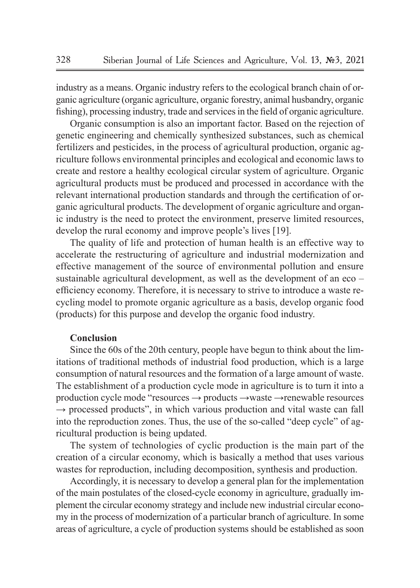industry as a means. Organic industry refers to the ecological branch chain of organic agriculture (organic agriculture, organic forestry, animal husbandry, organic fishing), processing industry, trade and services in the field of organic agriculture.

Organic consumption is also an important factor. Based on the rejection of genetic engineering and chemically synthesized substances, such as chemical fertilizers and pesticides, in the process of agricultural production, organic agriculture follows environmental principles and ecological and economic laws to create and restore a healthy ecological circular system of agriculture. Organic agricultural products must be produced and processed in accordance with the relevant international production standards and through the certification of organic agricultural products. The development of organic agriculture and organic industry is the need to protect the environment, preserve limited resources, develop the rural economy and improve people's lives [19].

The quality of life and protection of human health is an effective way to accelerate the restructuring of agriculture and industrial modernization and effective management of the source of environmental pollution and ensure sustainable agricultural development, as well as the development of an eco – efficiency economy. Therefore, it is necessary to strive to introduce a waste recycling model to promote organic agriculture as a basis, develop organic food (products) for this purpose and develop the organic food industry.

### **Conclusion**

Since the 60s of the 20th century, people have begun to think about the limitations of traditional methods of industrial food production, which is a large consumption of natural resources and the formation of a large amount of waste. The establishment of a production cycle mode in agriculture is to turn it into a production cycle mode "resources → products →waste →renewable resources  $\rightarrow$  processed products", in which various production and vital waste can fall into the reproduction zones. Thus, the use of the so-called "deep cycle" of agricultural production is being updated.

The system of technologies of cyclic production is the main part of the creation of a circular economy, which is basically a method that uses various wastes for reproduction, including decomposition, synthesis and production.

Accordingly, it is necessary to develop a general plan for the implementation of the main postulates of the closed-cycle economy in agriculture, gradually implement the circular economy strategy and include new industrial circular economy in the process of modernization of a particular branch of agriculture. In some areas of agriculture, a cycle of production systems should be established as soon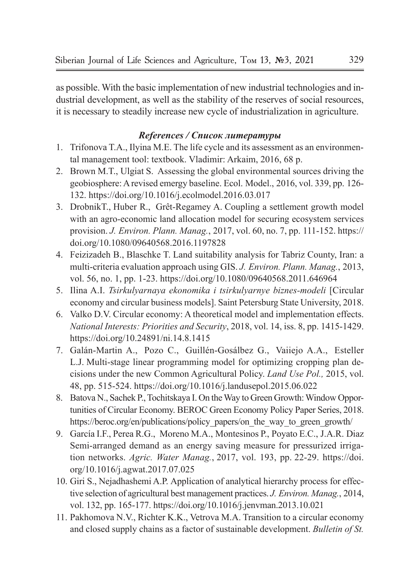as possible. With the basic implementation of new industrial technologies and industrial development, as well as the stability of the reserves of social resources, it is necessary to steadily increase new cycle of industrialization in agriculture.

## *References / Список литературы*

- 1. Trifonova T.A., Ilyina M.E. The life cycle and its assessment as an environmental management tool: textbook. Vladimir: Arkaim, 2016, 68 p.
- 2. Brown M.T., Ulgiat S. Assessing the global environmental sources driving the geobiosphere: A revised emergy baseline. Ecol. Model., 2016, vol. 339, pp. 126- 132. https://doi.org/10.1016/j.ecolmodel.2016.03.017
- 3. DrobnikT., Huber R., Grêt-Regamey A. Coupling a settlement growth model with an agro-economic land allocation model for securing ecosystem services provision. *J. Environ. Plann. Manag.*, 2017, vol. 60, no. 7, pp. 111-152. https:// doi.org/10.1080/09640568.2016.1197828
- 4. Feizizadeh B., Blaschke T. Land suitability analysis for Tabriz County, Iran: a multi-criteria evaluation approach using GIS. *J. Environ. Plann. Manag.*, 2013, vol. 56, no. 1, pp. 1-23. https://doi.org/10.1080/09640568.2011.646964
- 5. Ilina A.I. *Tsirkulyarnaya ekonomika i tsirkulyarnye biznes-modeli* [Circular economy and circular business models]. Saint Petersburg State University, 2018.
- 6. Valko D.V. Circular economy: A theoretical model and implementation effects. *National Interests: Priorities and Security*, 2018, vol. 14, iss. 8, pp. 1415-1429. https://doi.org/10.24891/ni.14.8.1415
- 7. Galán-Martin A., Pozo C., Guillén-Gosálbez G., Vaiiejo A.A., Esteller L.J. Multi-stage linear programming model for optimizing cropping plan decisions under the new Common Agricultural Policy. *Land Use Pol.,* 2015, vol. 48, pp. 515-524. https://doi.org/10.1016/j.landusepol.2015.06.022
- 8. Batova N., Sachek P., Tochitskaya I. On the Way to Green Growth: Window Opportunities of Circular Economy. BEROC Green Economy Policy Paper Series, 2018. https://beroc.org/en/publications/policy\_papers/on\_the\_way\_to\_green\_growth/
- 9. García I.F., Perea R.G., Moreno M.A., Montesinos P., Poyato E.C., J.A.R. Diaz Semi-arranged demand as an energy saving measure for pressurized irrigation networks. *Agric. Water Manag.*, 2017, vol. 193, pp. 22-29. https://doi. org/10.1016/j.agwat.2017.07.025
- 10. Giri S., Nejadhashemi A.P. Application of analytical hierarchy process for effective selection of agricultural best management practices. *J. Environ. Manag.*, 2014, vol. 132, pp. 165-177. https://doi.org/10.1016/j.jenvman.2013.10.021
- 11. Pakhomova N.V., Richter K.K., Vetrova M.A. Transition to a circular economy and closed supply chains as a factor of sustainable development. *Bulletin of St.*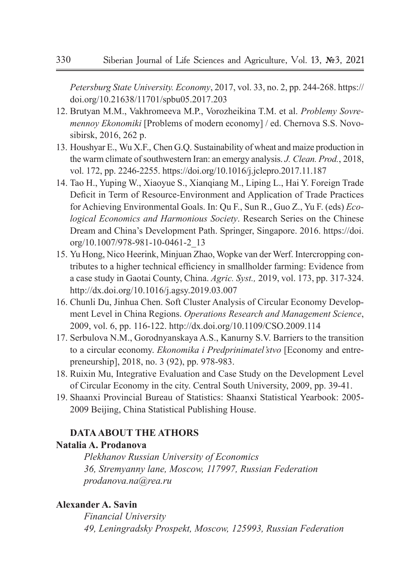*Petersburg State University. Economy*, 2017, vol. 33, no. 2, pp. 244-268. https:// doi.org/10.21638/11701/spbu05.2017.203

- 12. Brutyan M.M., Vakhromeeva M.P., Vorozheikina T.M. et al. *Problemy Sovremennoy Ekonomiki* [Problems of modern economy] / ed. Chernova S.S. Novosibirsk, 2016, 262 p.
- 13. Houshyar E., Wu X.F., Chen G.Q. Sustainability of wheat and maize production in the warm climate of southwestern Iran: an emergy analysis. *J. Clean. Prod.*, 2018, vol. 172, pp. 2246-2255. https://doi.org/10.1016/j.jclepro.2017.11.187
- 14. Tao H., Yuping W., Xiaoyue S., Xianqiang M., Liping L., Hai Y. Foreign Trade Deficit in Term of Resource-Environment and Application of Trade Practices for Achieving Environmental Goals. In: Qu F., Sun R., Guo Z., Yu F. (eds) *Ecological Economics and Harmonious Society*. Research Series on the Chinese Dream and China's Development Path. Springer, Singapore. 2016. https://doi. org/10.1007/978-981-10-0461-2\_13
- 15. Yu Hong, Nico Heerink, Minjuan Zhao, Wopke van der Werf. Intercropping contributes to a higher technical efficiency in smallholder farming: Evidence from a case study in Gaotai County, China. *Agric. Syst.,* 2019, vol. 173, pp. 317-324. http://dx.doi.org/10.1016/j.agsy.2019.03.007
- 16. Chunli Du, Jinhua Chen. Soft Cluster Analysis of Circular Economy Development Level in China Regions. *Operations Research and Management Science*, 2009, vol. 6, pp. 116-122. http://dx.doi.org/10.1109/CSO.2009.114
- 17. Serbulova N.M., Gorodnyanskaya A.S., Kanurny S.V. Barriers to the transition to a circular economy. *Ekonomika i Predprinimatel'stvo* [Economy and entrepreneurship], 2018, no. 3 (92), pp. 978-983.
- 18. Ruixin Mu, Integrative Evaluation and Case Study on the Development Level of Circular Economy in the city. Central South University, 2009, pp. 39-41.
- 19. Shaanxi Provincial Bureau of Statistics: Shaanxi Statistical Yearbook: 2005- 2009 Beijing, China Statistical Publishing House.

# **DATA ABOUT THE ATHORS**

# **Natalia A. Prodanova**

*Plekhanov Russian University of Economics 36, Stremyanny lane, Moscow, 117997, Russian Federation prodanova.na@rea.ru*

## **Alexander A. Savin**

*Financial University 49, Leningradsky Prospekt, Moscow, 125993, Russian Federation*